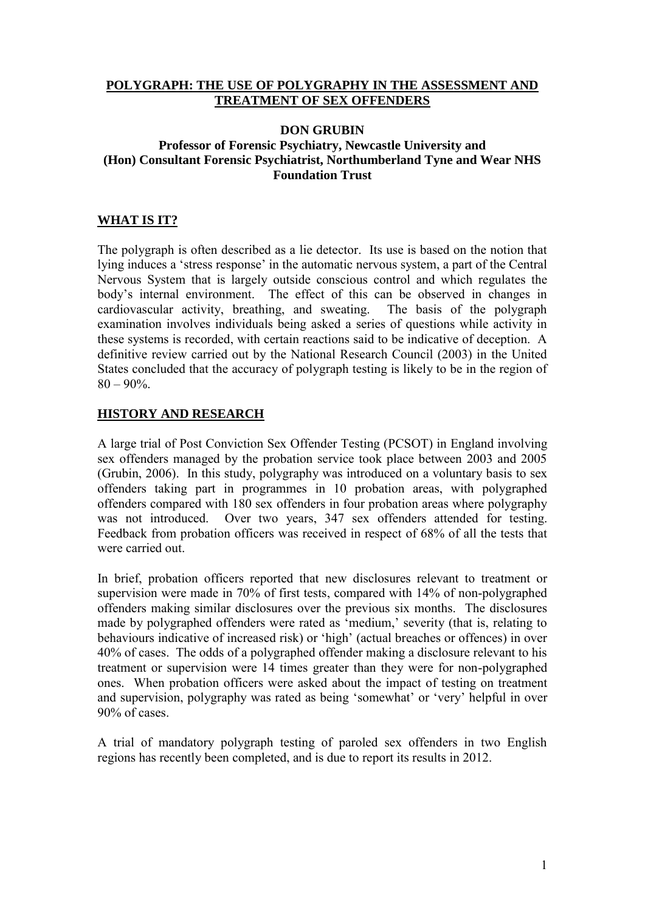#### **POLYGRAPH: THE USE OF POLYGRAPHY IN THE ASSESSMENT AND TREATMENT OF SEX OFFENDERS**

#### **DON GRUBIN Professor of Forensic Psychiatry, Newcastle University and (Hon) Consultant Forensic Psychiatrist, Northumberland Tyne and Wear NHS Foundation Trust**

## **WHAT IS IT?**

The polygraph is often described as a lie detector. Its use is based on the notion that lying induces a 'stress response' in the automatic nervous system, a part of the Central Nervous System that is largely outside conscious control and which regulates the body's internal environment. The effect of this can be observed in changes in cardiovascular activity, breathing, and sweating. The basis of the polygraph examination involves individuals being asked a series of questions while activity in these systems is recorded, with certain reactions said to be indicative of deception. A definitive review carried out by the National Research Council (2003) in the United States concluded that the accuracy of polygraph testing is likely to be in the region of  $80 - 90\%$ .

## **HISTORY AND RESEARCH**

A large trial of Post Conviction Sex Offender Testing (PCSOT) in England involving sex offenders managed by the probation service took place between 2003 and 2005 (Grubin, 2006). In this study, polygraphy was introduced on a voluntary basis to sex offenders taking part in programmes in 10 probation areas, with polygraphed offenders compared with 180 sex offenders in four probation areas where polygraphy was not introduced. Over two years, 347 sex offenders attended for testing. Feedback from probation officers was received in respect of 68% of all the tests that were carried out.

In brief, probation officers reported that new disclosures relevant to treatment or supervision were made in 70% of first tests, compared with 14% of non-polygraphed offenders making similar disclosures over the previous six months. The disclosures made by polygraphed offenders were rated as 'medium,' severity (that is, relating to behaviours indicative of increased risk) or 'high' (actual breaches or offences) in over 40% of cases. The odds of a polygraphed offender making a disclosure relevant to his treatment or supervision were 14 times greater than they were for non-polygraphed ones. When probation officers were asked about the impact of testing on treatment and supervision, polygraphy was rated as being 'somewhat' or 'very' helpful in over 90% of cases.

A trial of mandatory polygraph testing of paroled sex offenders in two English regions has recently been completed, and is due to report its results in 2012.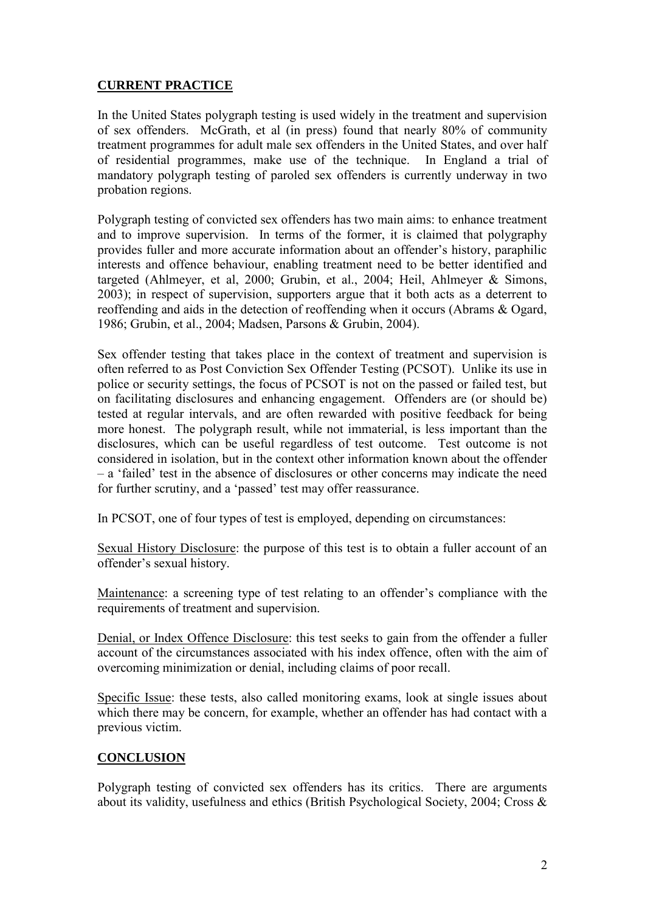# **CURRENT PRACTICE**

In the United States polygraph testing is used widely in the treatment and supervision of sex offenders. McGrath, et al (in press) found that nearly 80% of community treatment programmes for adult male sex offenders in the United States, and over half of residential programmes, make use of the technique. In England a trial of mandatory polygraph testing of paroled sex offenders is currently underway in two probation regions.

Polygraph testing of convicted sex offenders has two main aims: to enhance treatment and to improve supervision. In terms of the former, it is claimed that polygraphy provides fuller and more accurate information about an offender's history, paraphilic interests and offence behaviour, enabling treatment need to be better identified and targeted (Ahlmeyer, et al, 2000; Grubin, et al., 2004; Heil, Ahlmeyer & Simons, 2003); in respect of supervision, supporters argue that it both acts as a deterrent to reoffending and aids in the detection of reoffending when it occurs (Abrams & Ogard, 1986; Grubin, et al., 2004; Madsen, Parsons & Grubin, 2004).

Sex offender testing that takes place in the context of treatment and supervision is often referred to as Post Conviction Sex Offender Testing (PCSOT). Unlike its use in police or security settings, the focus of PCSOT is not on the passed or failed test, but on facilitating disclosures and enhancing engagement. Offenders are (or should be) tested at regular intervals, and are often rewarded with positive feedback for being more honest. The polygraph result, while not immaterial, is less important than the disclosures, which can be useful regardless of test outcome. Test outcome is not considered in isolation, but in the context other information known about the offender – a 'failed' test in the absence of disclosures or other concerns may indicate the need for further scrutiny, and a 'passed' test may offer reassurance.

In PCSOT, one of four types of test is employed, depending on circumstances:

Sexual History Disclosure: the purpose of this test is to obtain a fuller account of an offender's sexual history.

Maintenance: a screening type of test relating to an offender's compliance with the requirements of treatment and supervision.

Denial, or Index Offence Disclosure: this test seeks to gain from the offender a fuller account of the circumstances associated with his index offence, often with the aim of overcoming minimization or denial, including claims of poor recall.

Specific Issue: these tests, also called monitoring exams, look at single issues about which there may be concern, for example, whether an offender has had contact with a previous victim.

## **CONCLUSION**

Polygraph testing of convicted sex offenders has its critics. There are arguments about its validity, usefulness and ethics (British Psychological Society, 2004; Cross &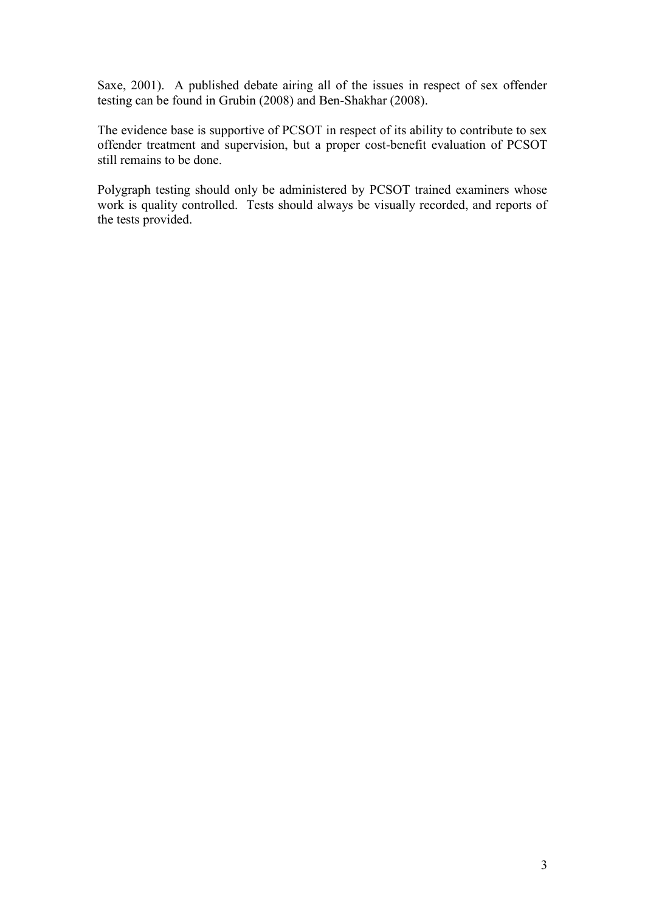Saxe, 2001). A published debate airing all of the issues in respect of sex offender testing can be found in Grubin (2008) and Ben-Shakhar (2008).

The evidence base is supportive of PCSOT in respect of its ability to contribute to sex offender treatment and supervision, but a proper cost-benefit evaluation of PCSOT still remains to be done.

Polygraph testing should only be administered by PCSOT trained examiners whose work is quality controlled. Tests should always be visually recorded, and reports of the tests provided.